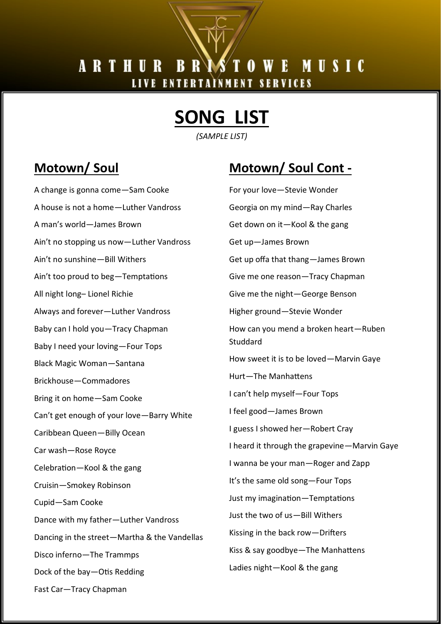#### **B** R WE MUSIC ARTHUR LIVE ENTERTAINMENT SERVICES

# **SONG LIST**

*(SAMPLE LIST)*

### **Motown/ Soul**

A change is gonna come—Sam Cooke A house is not a home—Luther Vandross A man's world—James Brown Ain't no stopping us now—Luther Vandross Ain't no sunshine—Bill Withers Ain't too proud to beg—Temptations All night long– Lionel Richie Always and forever—Luther Vandross Baby can I hold you—Tracy Chapman Baby I need your loving—Four Tops Black Magic Woman—Santana Brickhouse—Commadores Bring it on home—Sam Cooke Can't get enough of your love—Barry White Caribbean Queen—Billy Ocean Car wash—Rose Royce Celebration—Kool & the gang Cruisin—Smokey Robinson Cupid—Sam Cooke Dance with my father—Luther Vandross Dancing in the street—Martha & the Vandellas Disco inferno—The Trammps Dock of the bay—Otis Redding Fast Car—Tracy Chapman

# **Motown/ Soul Cont -**

For your love—Stevie Wonder Georgia on my mind—Ray Charles Get down on it—Kool & the gang Get up—James Brown Get up offa that thang—James Brown Give me one reason—Tracy Chapman Give me the night—George Benson Higher ground—Stevie Wonder How can you mend a broken heart—Ruben **Studdard** How sweet it is to be loved—Marvin Gaye Hurt—The Manhattens I can't help myself—Four Tops I feel good—James Brown I guess I showed her—Robert Cray I heard it through the grapevine—Marvin Gaye I wanna be your man—Roger and Zapp It's the same old song—Four Tops Just my imagination—Temptations Just the two of us—Bill Withers Kissing in the back row—Drifters Kiss & say goodbye—The Manhattens Ladies night—Kool & the gang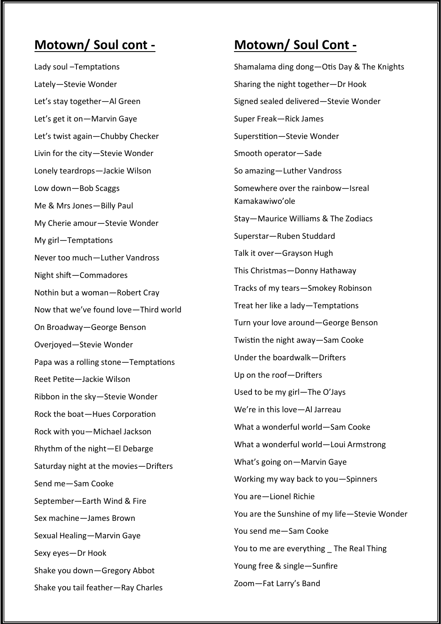#### **Motown/ Soul cont -**

Lady soul –Temptations Lately—Stevie Wonder Let's stay together—Al Green Let's get it on—Marvin Gaye Let's twist again—Chubby Checker Livin for the city—Stevie Wonder Lonely teardrops—Jackie Wilson Low down—Bob Scaggs Me & Mrs Jones—Billy Paul My Cherie amour—Stevie Wonder My girl—Temptations Never too much—Luther Vandross Night shift—Commadores Nothin but a woman—Robert Cray Now that we've found love—Third world On Broadway—George Benson Overjoyed—Stevie Wonder Papa was a rolling stone—Temptations Reet Petite—Jackie Wilson Ribbon in the sky—Stevie Wonder Rock the boat—Hues Corporation Rock with you—Michael Jackson Rhythm of the night—El Debarge Saturday night at the movies—Drifters Send me—Sam Cooke September—Earth Wind & Fire Sex machine—James Brown Sexual Healing—Marvin Gaye Sexy eyes—Dr Hook Shake you down—Gregory Abbot Shake you tail feather—Ray Charles

### **Motown/ Soul Cont -**

Shamalama ding dong—Otis Day & The Knights Sharing the night together—Dr Hook Signed sealed delivered—Stevie Wonder Super Freak—Rick James Superstition—Stevie Wonder Smooth operator—Sade So amazing—Luther Vandross Somewhere over the rainbow—Isreal Kamakawiwo'ole Stay—Maurice Williams & The Zodiacs Superstar—Ruben Studdard Talk it over—Grayson Hugh This Christmas—Donny Hathaway Tracks of my tears—Smokey Robinson Treat her like a lady—Temptations Turn your love around—George Benson Twistin the night away—Sam Cooke Under the boardwalk—Drifters Up on the roof—Drifters Used to be my girl—The O'Jays We're in this love—Al Jarreau What a wonderful world—Sam Cooke What a wonderful world—Loui Armstrong What's going on—Marvin Gaye Working my way back to you—Spinners You are—Lionel Richie You are the Sunshine of my life—Stevie Wonder You send me—Sam Cooke You to me are everything The Real Thing Young free & single—Sunfire Zoom—Fat Larry's Band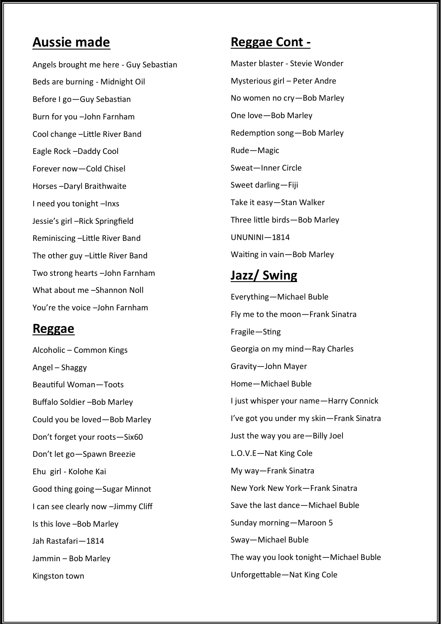#### **Aussie made**

Angels brought me here - Guy Sebastian Beds are burning - Midnight Oil Before I go—Guy Sebastian Burn for you –John Farnham Cool change –Little River Band Eagle Rock –Daddy Cool Forever now—Cold Chisel Horses –Daryl Braithwaite I need you tonight –Inxs Jessie's girl –Rick Springfield Reminiscing –Little River Band The other guy –Little River Band Two strong hearts –John Farnham What about me –Shannon Noll You're the voice –John Farnham

#### **Reggae**

Alcoholic – Common Kings Angel – Shaggy Beautiful Woman—Toots Buffalo Soldier –Bob Marley Could you be loved—Bob Marley Don't forget your roots—Six60 Don't let go—Spawn Breezie Ehu girl - Kolohe Kai Good thing going—Sugar Minnot I can see clearly now –Jimmy Cliff Is this love –Bob Marley Jah Rastafari—1814 Jammin – Bob Marley Kingston town

#### **Reggae Cont -**

Master blaster - Stevie Wonder Mysterious girl – Peter Andre No women no cry—Bob Marley One love—Bob Marley Redemption song—Bob Marley Rude—Magic Sweat—Inner Circle Sweet darling—Fiji Take it easy—Stan Walker Three little birds—Bob Marley UNUNINI—1814 Waiting in vain—Bob Marley

#### **Jazz/ Swing**

Everything—Michael Buble Fly me to the moon—Frank Sinatra Fragile—Sting Georgia on my mind—Ray Charles Gravity—John Mayer Home—Michael Buble I just whisper your name—Harry Connick I've got you under my skin—Frank Sinatra Just the way you are—Billy Joel L.O.V.E—Nat King Cole My way—Frank Sinatra New York New York—Frank Sinatra Save the last dance—Michael Buble Sunday morning—Maroon 5 Sway—Michael Buble The way you look tonight—Michael Buble Unforgettable—Nat King Cole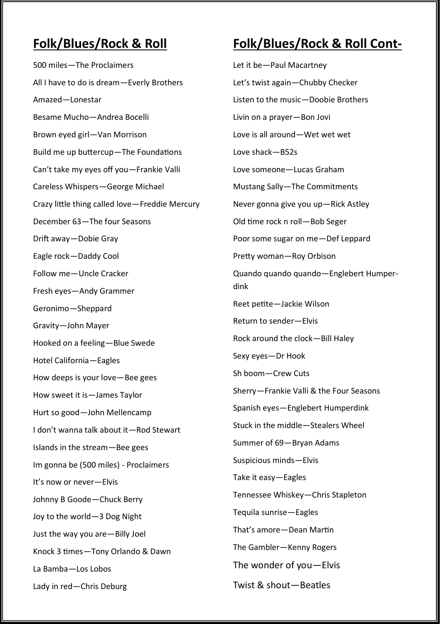#### **Folk/Blues/Rock & Roll**

500 miles—The Proclaimers All I have to do is dream—Everly Brothers Amazed—Lonestar Besame Mucho—Andrea Bocelli Brown eyed girl—Van Morrison Build me up buttercup—The Foundations Can't take my eyes off you—Frankie Valli Careless Whispers—George Michael Crazy little thing called love—Freddie Mercury December 63—The four Seasons Drift away—Dobie Gray Eagle rock—Daddy Cool Follow me—Uncle Cracker Fresh eyes—Andy Grammer Geronimo—Sheppard Gravity—John Mayer Hooked on a feeling—Blue Swede Hotel California—Eagles How deeps is your love—Bee gees How sweet it is—James Taylor Hurt so good—John Mellencamp I don't wanna talk about it—Rod Stewart Islands in the stream—Bee gees Im gonna be (500 miles) - Proclaimers It's now or never—Elvis Johnny B Goode—Chuck Berry Joy to the world—3 Dog Night Just the way you are—Billy Joel Knock 3 times—Tony Orlando & Dawn La Bamba—Los Lobos Lady in red—Chris Deburg

# **Folk/Blues/Rock & Roll Cont-**

Let it be—Paul Macartney Let's twist again—Chubby Checker Listen to the music—Doobie Brothers Livin on a prayer—Bon Jovi Love is all around—Wet wet wet Love shack—B52s Love someone—Lucas Graham Mustang Sally—The Commitments Never gonna give you up—Rick Astley Old time rock n roll—Bob Seger Poor some sugar on me—Def Leppard Pretty woman—Roy Orbison Quando quando quando—Englebert Humperdink Reet petite—Jackie Wilson Return to sender—Elvis Rock around the clock—Bill Haley Sexy eyes—Dr Hook Sh boom—Crew Cuts Sherry—Frankie Valli & the Four Seasons Spanish eyes—Englebert Humperdink Stuck in the middle—Stealers Wheel Summer of 69—Bryan Adams Suspicious minds—Elvis Take it easy—Eagles Tennessee Whiskey—Chris Stapleton Tequila sunrise—Eagles That's amore—Dean Martin The Gambler—Kenny Rogers The wonder of you—Elvis Twist & shout—Beatles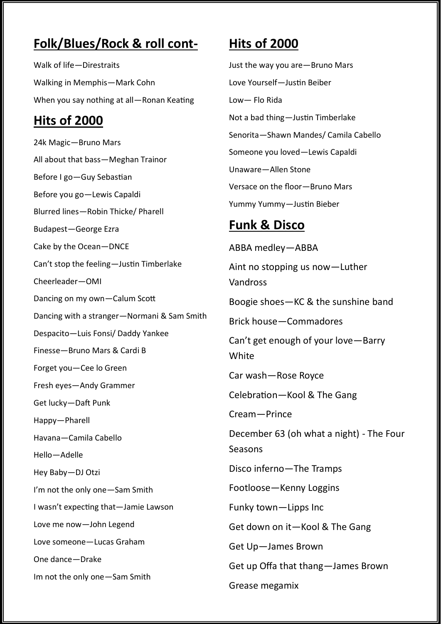# **Folk/Blues/Rock & roll cont-**

Walk of life—Direstraits Walking in Memphis—Mark Cohn When you say nothing at all—Ronan Keating

#### **Hits of 2000**

24k Magic—Bruno Mars All about that bass—Meghan Trainor Before I go—Guy Sebastian Before you go—Lewis Capaldi Blurred lines—Robin Thicke/ Pharell Budapest—George Ezra Cake by the Ocean—DNCE Can't stop the feeling—Justin Timberlake Cheerleader—OMI Dancing on my own—Calum Scott Dancing with a stranger—Normani & Sam Smith Despacito—Luis Fonsi/ Daddy Yankee Finesse—Bruno Mars & Cardi B Forget you—Cee lo Green Fresh eyes—Andy Grammer Get lucky—Daft Punk Happy—Pharell Havana—Camila Cabello Hello—Adelle Hey Baby—DJ Otzi I'm not the only one—Sam Smith I wasn't expecting that—Jamie Lawson Love me now—John Legend Love someone—Lucas Graham One dance—Drake Im not the only one—Sam Smith

# **Hits of 2000**

Just the way you are—Bruno Mars Love Yourself—Justin Beiber Low— Flo Rida Not a bad thing—Justin Timberlake Senorita—Shawn Mandes/ Camila Cabello Someone you loved—Lewis Capaldi Unaware—Allen Stone Versace on the floor—Bruno Mars Yummy Yummy—Justin Bieber

#### **Funk & Disco**

ABBA medley—ABBA Aint no stopping us now—Luther Vandross Boogie shoes—KC & the sunshine band Brick house—Commadores Can't get enough of your love—Barry **White** Car wash—Rose Royce Celebration—Kool & The Gang Cream—Prince December 63 (oh what a night) - The Four Seasons Disco inferno—The Tramps Footloose—Kenny Loggins Funky town—Lipps Inc Get down on it—Kool & The Gang Get Up—James Brown Get up Offa that thang—James Brown Grease megamix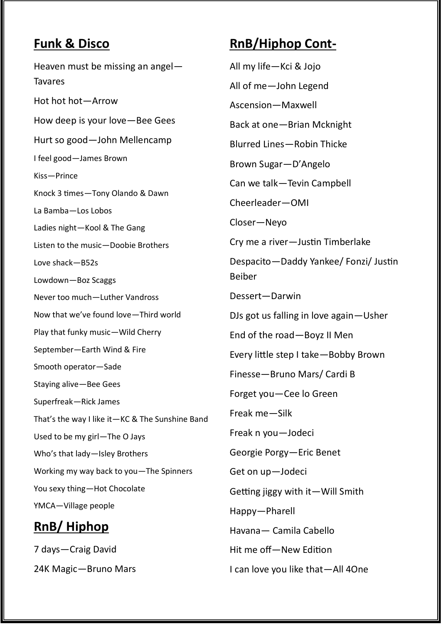#### **Funk & Disco**

Heaven must be missing an angel— **Tavares** Hot hot hot—Arrow How deep is your love—Bee Gees Hurt so good—John Mellencamp I feel good—James Brown Kiss—Prince Knock 3 times—Tony Olando & Dawn La Bamba—Los Lobos Ladies night—Kool & The Gang Listen to the music—Doobie Brothers Love shack—B52s Lowdown—Boz Scaggs Never too much—Luther Vandross Now that we've found love—Third world Play that funky music—Wild Cherry September—Earth Wind & Fire Smooth operator—Sade Staying alive—Bee Gees Superfreak—Rick James That's the way I like it—KC & The Sunshine Band Used to be my girl—The O Jays Who's that lady—Isley Brothers Working my way back to you—The Spinners You sexy thing—Hot Chocolate YMCA—Village people

# **RnB/ Hiphop**

7 days—Craig David 24K Magic—Bruno Mars

# **RnB/Hiphop Cont-**

All my life—Kci & Jojo All of me—John Legend Ascension—Maxwell Back at one—Brian Mcknight Blurred Lines—Robin Thicke Brown Sugar—D'Angelo Can we talk—Tevin Campbell Cheerleader—OMI Closer—Neyo Cry me a river—Justin Timberlake Despacito—Daddy Yankee/ Fonzi/ Justin Beiber Dessert—Darwin DJs got us falling in love again—Usher End of the road—Boyz II Men Every little step I take—Bobby Brown Finesse—Bruno Mars/ Cardi B Forget you—Cee lo Green Freak me—Silk Freak n you—Jodeci Georgie Porgy—Eric Benet Get on up—Jodeci Getting jiggy with it—Will Smith Happy—Pharell Havana— Camila Cabello Hit me off—New Edition I can love you like that—All 4One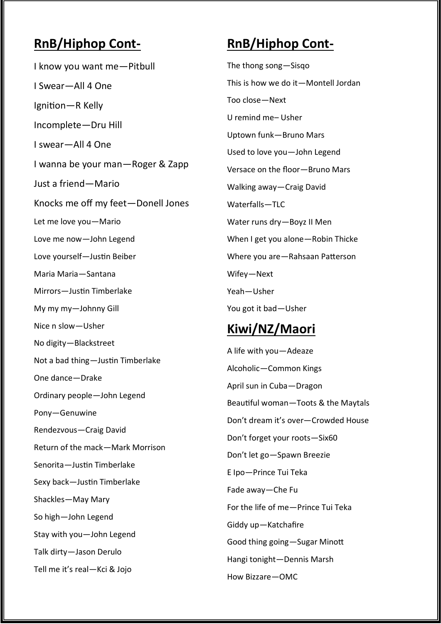#### **RnB/Hiphop Cont-**

I know you want me—Pitbull I Swear—All 4 One Ignition—R Kelly Incomplete—Dru Hill I swear—All 4 One I wanna be your man—Roger & Zapp Just a friend—Mario Knocks me off my feet—Donell Jones Let me love you—Mario Love me now—John Legend Love yourself—Justin Beiber Maria Maria—Santana Mirrors—Justin Timberlake My my my—Johnny Gill Nice n slow—Usher No digity—Blackstreet Not a bad thing—Justin Timberlake One dance—Drake Ordinary people—John Legend Pony—Genuwine Rendezvous—Craig David Return of the mack—Mark Morrison Senorita—Justin Timberlake Sexy back—Justin Timberlake Shackles—May Mary So high—John Legend Stay with you—John Legend Talk dirty—Jason Derulo Tell me it's real—Kci & Jojo

#### **RnB/Hiphop Cont-**

The thong song—Sisqo This is how we do it—Montell Jordan Too close—Next U remind me– Usher Uptown funk—Bruno Mars Used to love you—John Legend Versace on the floor—Bruno Mars Walking away—Craig David Waterfalls—TLC Water runs dry—Boyz II Men When I get you alone—Robin Thicke Where you are—Rahsaan Patterson Wifey—Next Yeah—Usher You got it bad—Usher

#### **Kiwi/NZ/Maori**

A life with you—Adeaze Alcoholic—Common Kings April sun in Cuba—Dragon Beautiful woman—Toots & the Maytals Don't dream it's over—Crowded House Don't forget your roots—Six60 Don't let go—Spawn Breezie E Ipo—Prince Tui Teka Fade away—Che Fu For the life of me—Prince Tui Teka Giddy up—Katchafire Good thing going—Sugar Minott Hangi tonight—Dennis Marsh How Bizzare—OMC